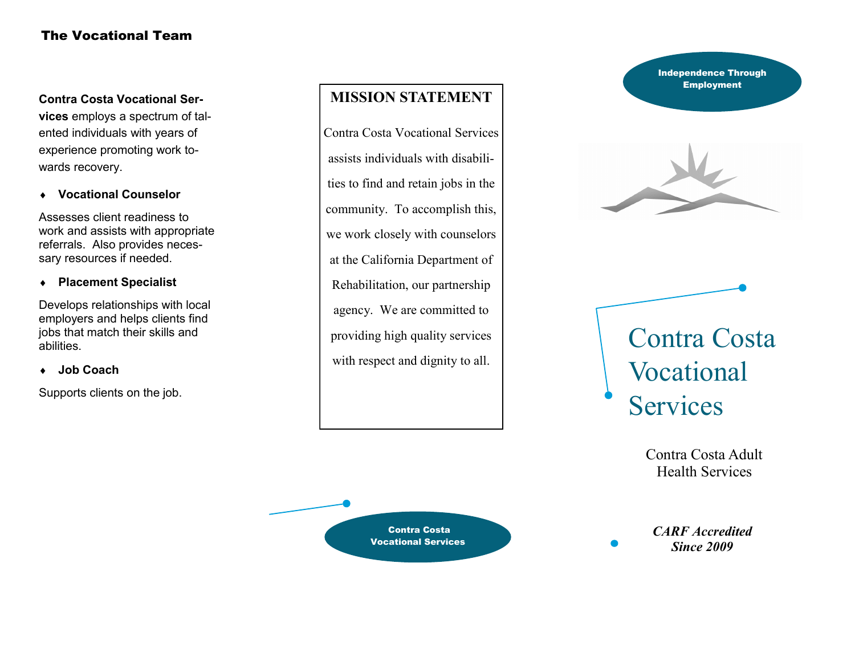# The Vocational Team

**Contra Costa Vocational Ser-**

**vices** employs a spectrum of talented individuals with years of experience promoting work towards recovery.

**Vocational Counselor**

Assesses client readiness to work and assists with appropriate referrals. Also provides necessary resources if needed.

#### **Placement Specialist**

Develops relationships with local employers and helps clients find jobs that match their skills and abilities.

### **Job Coach**

Supports clients on the job.

# **MISSION STATEMENT**

Contra Costa Vocational Services assists individuals with disabilities to find and retain jobs in the community. To accomplish this, we work closely with counselors at the California Department of Rehabilitation, our partnership agency. We are committed to providing high quality services with respect and dignity to all.

Contra Costa Vocational Services Independence Through **Employment** 



# Contra Costa Vocational Services

Contra Costa Adult Health Services

*CARF Accredited Since 2009*